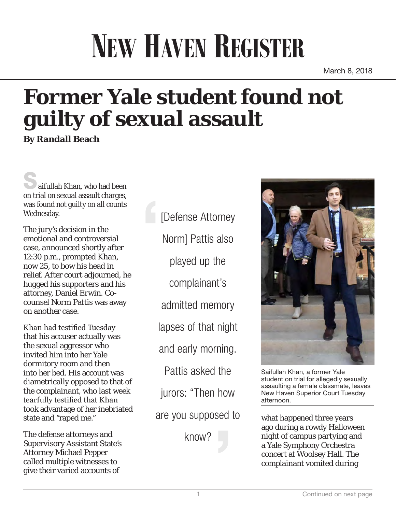## **NEW HAVEN REGISTER**

March 8, 2018

## **Former Yale student found not guilty of sexual assault**

**By Randall Beach**

aifullah Khan, who had been on trial on sexual assault charges, was found not guilty on all counts Wednesday.

The jury's decision in the emotional and controversial case, announced shortly after 12:30 p.m., prompted Khan, now 25, to bow his head in relief. After court adjourned, he hugged his supporters and his attorney, Daniel Erwin. Cocounsel Norm Pattis was away on another case.

Khan had testified Tuesday that his accuser actually was the sexual aggressor who invited him into her Yale dormitory room and then into her bed. His account was diametrically opposed to that of the complainant, who last week tearfully testified that Khan took advantage of her inebriated state and "raped me."

The defense attorneys and Supervisory Assistant State's Attorney Michael Pepper called multiple witnesses to give their varied accounts of

[Defense Attorney Norm] Pattis also played up the complainant's admitted memory lapses of that night and early morning. Pattis asked the jurors: "Then how are you supposed to

know?



Saifullah Khan, a former Yale student on trial for allegedly sexually assaulting a female classmate, leaves New Haven Superior Court Tuesday afternoon.

what happened three years ago during a rowdy Halloween night of campus partying and a Yale Symphony Orchestra concert at Woolsey Hall. The complainant vomited during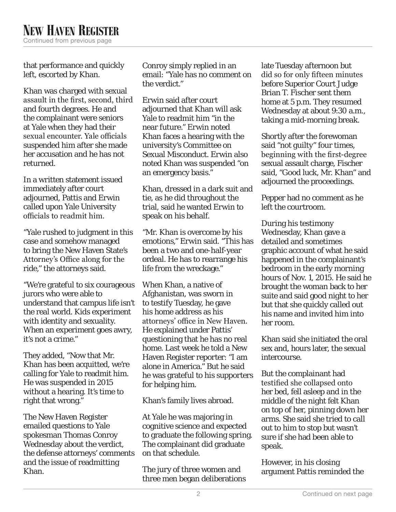that performance and quickly left, escorted by Khan.

Khan was charged with sexual assault in the first, second, third and fourth degrees. He and the complainant were seniors at Yale when they had their sexual encounter. Yale officials suspended him after she made her accusation and he has not returned.

In a written statement issued immediately after court adjourned, Pattis and Erwin called upon Yale University officials to readmit him.

"Yale rushed to judgment in this case and somehow managed to bring the New Haven State's Attorney's Office along for the ride," the attorneys said.

"We're grateful to six courageous jurors who were able to understand that campus life isn't the real world. Kids experiment with identity and sexuality. When an experiment goes awry, it's not a crime."

They added, "Now that Mr. Khan has been acquitted, we're calling for Yale to readmit him. He was suspended in 2015 without a hearing. It's time to right that wrong."

The New Haven Register emailed questions to Yale spokesman Thomas Conroy Wednesday about the verdict, the defense attorneys' comments and the issue of readmitting Khan.

Conroy simply replied in an email: "Yale has no comment on the verdict."

Erwin said after court adjourned that Khan will ask Yale to readmit him "in the near future." Erwin noted Khan faces a hearing with the university's Committee on Sexual Misconduct. Erwin also noted Khan was suspended "on an emergency basis."

Khan, dressed in a dark suit and tie, as he did throughout the trial, said he wanted Erwin to speak on his behalf.

"Mr. Khan is overcome by his emotions," Erwin said. "This has been a two and one-half-year ordeal. He has to rearrange his life from the wreckage."

When Khan, a native of Afghanistan, was sworn in to testify Tuesday, he gave his home address as his attorneys' office in New Haven. He explained under Pattis' questioning that he has no real home. Last week he told a New Haven Register reporter: "I am alone in America." But he said he was grateful to his supporters for helping him.

Khan's family lives abroad.

At Yale he was majoring in cognitive science and expected to graduate the following spring. The complainant did graduate on that schedule.

The jury of three women and three men began deliberations late Tuesday afternoon but did so for only fifteen minutes before Superior Court Judge Brian T. Fischer sent them home at 5 p.m. They resumed Wednesday at about 9:30 a.m., taking a mid-morning break.

Shortly after the forewoman said "not guilty" four times, beginning with the first-degree sexual assault charge, Fischer said, "Good luck, Mr. Khan" and adjourned the proceedings.

Pepper had no comment as he left the courtroom.

During his testimony Wednesday, Khan gave a detailed and sometimes graphic account of what he said happened in the complainant's bedroom in the early morning hours of Nov. 1, 2015. He said he brought the woman back to her suite and said good night to her but that she quickly called out his name and invited him into her room.

Khan said she initiated the oral sex and, hours later, the sexual intercourse.

But the complainant had testified she collapsed onto her bed, fell asleep and in the middle of the night felt Khan on top of her, pinning down her arms. She said she tried to call out to him to stop but wasn't sure if she had been able to speak.

However, in his closing argument Pattis reminded the